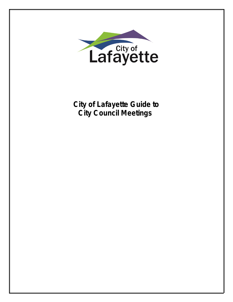

**City of Lafayette Guide to City Council Meetings**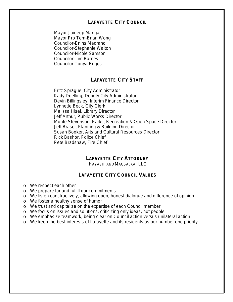# **LAFAYETTE CITY COUNCIL**

Mayor-Jaideep Mangat Mayor Pro Tem-Brian Wong Councilor-Enihs Medrano Councilor-Stephanie Walton Councilor-Nicole Samson Councilor-Tim Barnes Councilor-Tonya Briggs

# **LAFAYETTE CITY STAFF**

Fritz Sprague, City Administrator Kady Doelling, Deputy City Administrator Devin Billingsley, Interim Finance Director Lynnette Beck, City Clerk Melissa Hisel, Library Director Jeff Arthur, Public Works Director Monte Stevenson, Parks, Recreation & Open Space Director Jeff Brasel, Planning & Building Director Susan Booker, Arts and Cultural Resources Director Rick Bashor, Police Chief Pete Bradshaw, Fire Chief

# **LAFAYETTE CITY ATTORNEY**

HAYASHI AND MACSALKA, LLC

## **LAFAYETTE CITY COUNCIL VALUES**

- o We respect each other
- o We prepare for and fulfill our commitments
- o We listen constructively, allowing open, honest dialogue and difference of opinion
- o We foster a healthy sense of humor
- o We trust and capitalize on the expertise of each Council member
- o We focus on issues and solutions, criticizing only ideas, not people
- o We emphasize teamwork, being clear on Council action versus unilateral action
- o We keep the best interests of Lafayette and its residents as our number one priority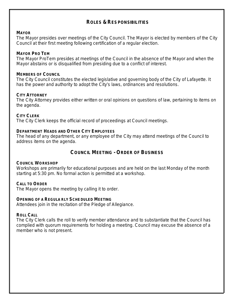# **ROLES & RESPONSIBILITIES**

#### **MAYOR**

The Mayor presides over meetings of the City Council. The Mayor is elected by members of the City Council at their first meeting following certification of a regular election.

### **MAYOR PRO TEM**

The Mayor ProTem presides at meetings of the Council in the absence of the Mayor and when the Mayor abstains or is disqualified from presiding due to a conflict of interest.

### **MEMBERS OF COUNCIL**

The City Council constitutes the elected legislative and governing body of the City of Lafayette. It has the power and authority to adopt the City's laws, ordinances and resolutions.

### **CITY ATTORNEY**

The City Attorney provides either written or oral opinions on questions of law, pertaining to items on the agenda.

### **CITY CLERK**

The City Clerk keeps the official record of proceedings at Council meetings.

### **DEPARTMENT HEADS AND OTHER CITY EMPLOYEES**

The head of any department, or any employee of the City may attend meetings of the Council to address items on the agenda.

## **COUNCIL MEETING - ORDER OF BUSINESS**

#### **COUNCIL WORKSHOP**

Workshops are primarily for educational purposes and are held on the last Monday of the month starting at 5:30 pm. No formal action is permitted at a workshop.

## **CALL TO ORDER**

The Mayor opens the meeting by calling it to order.

#### **OPENING OF A REGULA RLY SCHEDULED MEETING**

Attendees join in the recitation of the Pledge of Allegiance.

#### **ROLL CALL**

The City Clerk calls the roll to verify member attendance and to substantiate that the Council has complied with quorum requirements for holding a meeting. Council may excuse the absence of a member who is not present.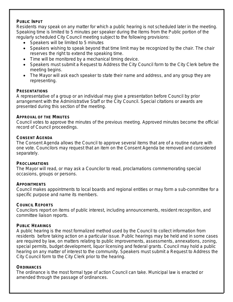#### **PUBLIC INPUT**

Residents may speak on any matter for which a public hearing is not scheduled later in the meeting. Speaking time is limited to 5 minutes per speaker during the Items from the Public portion of the regularly scheduled City Council meeting subject to the following provisions:

- Speakers will be limited to 5 minutes
- Speakers wishing to speak beyond that time limit may be recognized by the chair. The chair reserves the right to extend the speaking time.
- Time will be monitored by a mechanical timing device.
- Speakers must submit a Request to Address the City Council form to the City Clerk before the meeting begins.
- The Mayor will ask each speaker to state their name and address, and any group they are representing.

### **PRESENTATIONS**

A representative of a group or an individual may give a presentation before Council by prior arrangement with the Administrative Staff or the City Council. Special citations or awards are presented during this section of the meeting.

### **APPROVAL OF THE MINUTES**

Council votes to approve the minutes of the previous meeting. Approved minutes become the official record of Council proceedings.

### **CONSENT AGENDA**

The Consent Agenda allows the Council to approve several items that are of a routine nature with one vote. Councilors may request that an item on the Consent Agenda be removed and considered separately.

## **PROCLAMATIONS**

The Mayor will read, or may ask a Councilor to read, proclamations commemorating special occasions, groups or persons.

## **APPOINTMENTS**

Council makes appointments to local boards and regional entities or may form a sub-committee for a specific purpose and name its members.

## **COUNCIL REPORTS**

Councilors report on items of public interest, including announcements, resident recognition, and committee liaison reports.

#### **PUBLIC HEARINGS**

A public hearing is the most formalized method used by the Council to collect information from residents before taking action on a particular issue. Public hearings may be held and in some cases are required by law, on matters relating to public improvements, assessments, annexations, zoning, special permits, budget development, liquor licensing and federal grants. Council may hold a public hearing on any matter of interest to the community. Speakers must submit a Request to Address the City Council form to the City Clerk prior to the hearing.

#### **ORDINANCES**

The ordinance is the most formal type of action Council can take. Municipal law is enacted or amended through the passage of ordinances.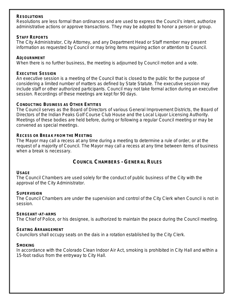### **RESOLUTIONS**

Resolutions are less formal than ordinances and are used to express the Council's intent, authorize administrative actions or approve transactions. They may be adopted to honor a person or group.

#### **STAFF REPORTS**

The City Administrator, City Attorney, and any Department Head or Staff member may present information as requested by Council or may bring items requiring action or attention to Council.

### **ADJOURNMENT**

When there is no further business, the meeting is adjourned by Council motion and a vote.

### **EXECUTIVE SESSION**

An executive session is a meeting of the Council that is closed to the public for the purpose of considering a limited number of matters as defined by State Statute. The executive session may include staff or other authorized participants. Council may not take formal action during an executive session. Recordings of these meetings are kept for 90 days.

### **CONDUCTING BUSINESS AS OTHER ENTITIES**

The Council serves as the Board of Directors of various General Improvement Districts, the Board of Directors of the Indian Peaks Golf Course Club House and the Local Liquor Licensing Authority. Meetings of these bodies are held before, during or following a regular Council meeting or may be convened as special meetings.

### **RECESS OR BREAK FROM THE MEETING**

The Mayor may call a recess at any time during a meeting to determine a rule of order, or at the request of a majority of Council. The Mayor may call a recess at any time between items of business when a break is necessary.

# **COUNCIL CHAMBERS - GENERAL RULES**

#### **USAGE**

The Council Chambers are used solely for the conduct of public business of the City with the approval of the City Administrator.

#### **SUPERVISION**

The Council Chambers are under the supervision and control of the City Clerk when Council is not in session.

#### **SERGEANT-AT-ARMS**

The Chief of Police, or his designee, is authorized to maintain the peace during the Council meeting.

#### **SEATING ARRANGEMENT**

Councilors shall occupy seats on the dais in a rotation established by the City Clerk.

## **SMOKING**

In accordance with the Colorado Clean Indoor Air Act, smoking is prohibited in City Hall and within a 15-foot radius from the entryway to City Hall.